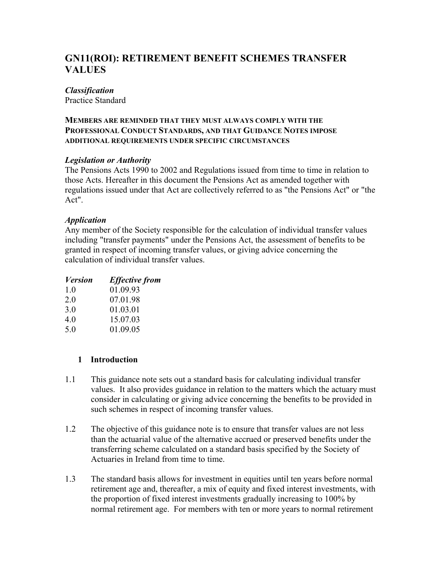# **GN11(ROI): RETIREMENT BENEFIT SCHEMES TRANSFER VALUES**

#### *Classification*

Practice Standard

#### **MEMBERS ARE REMINDED THAT THEY MUST ALWAYS COMPLY WITH THE PROFESSIONAL CONDUCT STANDARDS, AND THAT GUIDANCE NOTES IMPOSE ADDITIONAL REQUIREMENTS UNDER SPECIFIC CIRCUMSTANCES**

## *Legislation or Authority*

The Pensions Acts 1990 to 2002 and Regulations issued from time to time in relation to those Acts. Hereafter in this document the Pensions Act as amended together with regulations issued under that Act are collectively referred to as "the Pensions Act" or "the Act".

## *Application*

Any member of the Society responsible for the calculation of individual transfer values including "transfer payments" under the Pensions Act, the assessment of benefits to be granted in respect of incoming transfer values, or giving advice concerning the calculation of individual transfer values.

| <b>Version</b> | <b>Effective from</b> |
|----------------|-----------------------|
| 10             | 01.09.93              |
| 2.0            | 07.01.98              |
| 3.0            | 01.03.01              |
| 4.0            | 15.07.03              |
| 5.0            | 01.09.05              |

# **1 Introduction**

- 1.1 This guidance note sets out a standard basis for calculating individual transfer values. It also provides guidance in relation to the matters which the actuary must consider in calculating or giving advice concerning the benefits to be provided in such schemes in respect of incoming transfer values.
- 1.2 The objective of this guidance note is to ensure that transfer values are not less than the actuarial value of the alternative accrued or preserved benefits under the transferring scheme calculated on a standard basis specified by the Society of Actuaries in Ireland from time to time.
- 1.3 The standard basis allows for investment in equities until ten years before normal retirement age and, thereafter, a mix of equity and fixed interest investments, with the proportion of fixed interest investments gradually increasing to 100% by normal retirement age. For members with ten or more years to normal retirement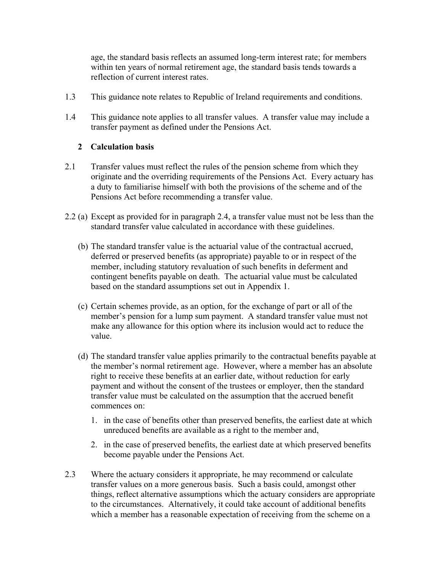age, the standard basis reflects an assumed long-term interest rate; for members within ten years of normal retirement age, the standard basis tends towards a reflection of current interest rates.

- 1.3 This guidance note relates to Republic of Ireland requirements and conditions.
- 1.4 This guidance note applies to all transfer values. A transfer value may include a transfer payment as defined under the Pensions Act.

# **2 Calculation basis**

- 2.1 Transfer values must reflect the rules of the pension scheme from which they originate and the overriding requirements of the Pensions Act. Every actuary has a duty to familiarise himself with both the provisions of the scheme and of the Pensions Act before recommending a transfer value.
- 2.2 (a) Except as provided for in paragraph 2.4, a transfer value must not be less than the standard transfer value calculated in accordance with these guidelines.
	- (b) The standard transfer value is the actuarial value of the contractual accrued, deferred or preserved benefits (as appropriate) payable to or in respect of the member, including statutory revaluation of such benefits in deferment and contingent benefits payable on death. The actuarial value must be calculated based on the standard assumptions set out in Appendix 1.
	- (c) Certain schemes provide, as an option, for the exchange of part or all of the member's pension for a lump sum payment. A standard transfer value must not make any allowance for this option where its inclusion would act to reduce the value.
	- (d) The standard transfer value applies primarily to the contractual benefits payable at the member's normal retirement age. However, where a member has an absolute right to receive these benefits at an earlier date, without reduction for early payment and without the consent of the trustees or employer, then the standard transfer value must be calculated on the assumption that the accrued benefit commences on:
		- 1. in the case of benefits other than preserved benefits, the earliest date at which unreduced benefits are available as a right to the member and,
		- 2. in the case of preserved benefits, the earliest date at which preserved benefits become payable under the Pensions Act.
- 2.3 Where the actuary considers it appropriate, he may recommend or calculate transfer values on a more generous basis. Such a basis could, amongst other things, reflect alternative assumptions which the actuary considers are appropriate to the circumstances. Alternatively, it could take account of additional benefits which a member has a reasonable expectation of receiving from the scheme on a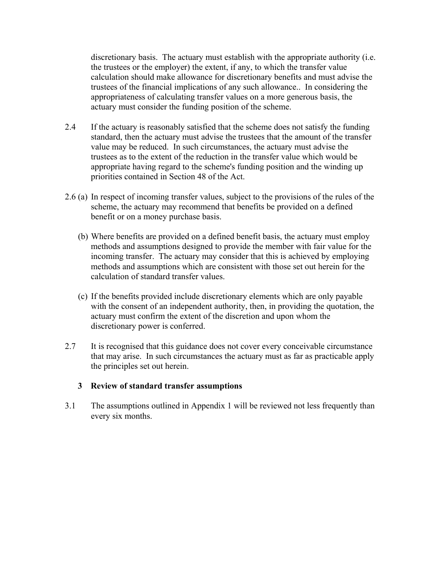discretionary basis. The actuary must establish with the appropriate authority (i.e. the trustees or the employer) the extent, if any, to which the transfer value calculation should make allowance for discretionary benefits and must advise the trustees of the financial implications of any such allowance.. In considering the appropriateness of calculating transfer values on a more generous basis, the actuary must consider the funding position of the scheme.

- 2.4 If the actuary is reasonably satisfied that the scheme does not satisfy the funding standard, then the actuary must advise the trustees that the amount of the transfer value may be reduced. In such circumstances, the actuary must advise the trustees as to the extent of the reduction in the transfer value which would be appropriate having regard to the scheme's funding position and the winding up priorities contained in Section 48 of the Act.
- 2.6 (a) In respect of incoming transfer values, subject to the provisions of the rules of the scheme, the actuary may recommend that benefits be provided on a defined benefit or on a money purchase basis.
	- (b) Where benefits are provided on a defined benefit basis, the actuary must employ methods and assumptions designed to provide the member with fair value for the incoming transfer. The actuary may consider that this is achieved by employing methods and assumptions which are consistent with those set out herein for the calculation of standard transfer values.
	- (c) If the benefits provided include discretionary elements which are only payable with the consent of an independent authority, then, in providing the quotation, the actuary must confirm the extent of the discretion and upon whom the discretionary power is conferred.
- 2.7 It is recognised that this guidance does not cover every conceivable circumstance that may arise. In such circumstances the actuary must as far as practicable apply the principles set out herein.

#### **3 Review of standard transfer assumptions**

3.1 The assumptions outlined in Appendix 1 will be reviewed not less frequently than every six months.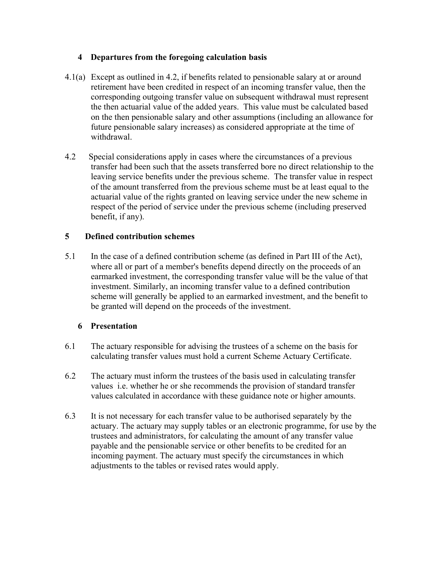## **4 Departures from the foregoing calculation basis**

- 4.1(a) Except as outlined in 4.2, if benefits related to pensionable salary at or around retirement have been credited in respect of an incoming transfer value, then the corresponding outgoing transfer value on subsequent withdrawal must represent the then actuarial value of the added years. This value must be calculated based on the then pensionable salary and other assumptions (including an allowance for future pensionable salary increases) as considered appropriate at the time of withdrawal.
- 4.2 Special considerations apply in cases where the circumstances of a previous transfer had been such that the assets transferred bore no direct relationship to the leaving service benefits under the previous scheme. The transfer value in respect of the amount transferred from the previous scheme must be at least equal to the actuarial value of the rights granted on leaving service under the new scheme in respect of the period of service under the previous scheme (including preserved benefit, if any).

# **5 Defined contribution schemes**

5.1 In the case of a defined contribution scheme (as defined in Part III of the Act), where all or part of a member's benefits depend directly on the proceeds of an earmarked investment, the corresponding transfer value will be the value of that investment. Similarly, an incoming transfer value to a defined contribution scheme will generally be applied to an earmarked investment, and the benefit to be granted will depend on the proceeds of the investment.

# **6 Presentation**

- 6.1 The actuary responsible for advising the trustees of a scheme on the basis for calculating transfer values must hold a current Scheme Actuary Certificate.
- 6.2 The actuary must inform the trustees of the basis used in calculating transfer values i.e. whether he or she recommends the provision of standard transfer values calculated in accordance with these guidance note or higher amounts.
- 6.3 It is not necessary for each transfer value to be authorised separately by the actuary. The actuary may supply tables or an electronic programme, for use by the trustees and administrators, for calculating the amount of any transfer value payable and the pensionable service or other benefits to be credited for an incoming payment. The actuary must specify the circumstances in which adjustments to the tables or revised rates would apply.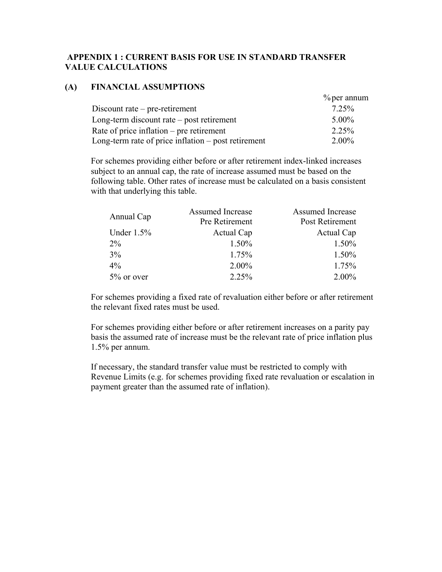## **APPENDIX 1 : CURRENT BASIS FOR USE IN STANDARD TRANSFER VALUE CALCULATIONS**

#### **(A) FINANCIAL ASSUMPTIONS**

|                                                       | $\%$ per annum |
|-------------------------------------------------------|----------------|
| Discount rate $-$ pre-retirement                      | 7.25%          |
| Long-term discount rate $-$ post retirement           | $5.00\%$       |
| Rate of price inflation $-$ pre retirement            | 2.25%          |
| Long-term rate of price inflation $-$ post retirement | $2.00\%$       |

For schemes providing either before or after retirement index-linked increases subject to an annual cap, the rate of increase assumed must be based on the following table. Other rates of increase must be calculated on a basis consistent with that underlying this table.

| Annual Cap    | <b>Assumed Increase</b> | Assumed Increase |
|---------------|-------------------------|------------------|
|               | Pre Retirement          | Post Retirement  |
| Under $1.5\%$ | Actual Cap              | Actual Cap       |
| $2\%$         | 1.50%                   | 1.50%            |
| 3%            | 1.75%                   | 1.50%            |
| $4\%$         | 2.00%                   | 1.75%            |
| $5\%$ or over | 2.25%                   | 2.00%            |

For schemes providing a fixed rate of revaluation either before or after retirement the relevant fixed rates must be used.

For schemes providing either before or after retirement increases on a parity pay basis the assumed rate of increase must be the relevant rate of price inflation plus 1.5% per annum.

If necessary, the standard transfer value must be restricted to comply with Revenue Limits (e.g. for schemes providing fixed rate revaluation or escalation in payment greater than the assumed rate of inflation).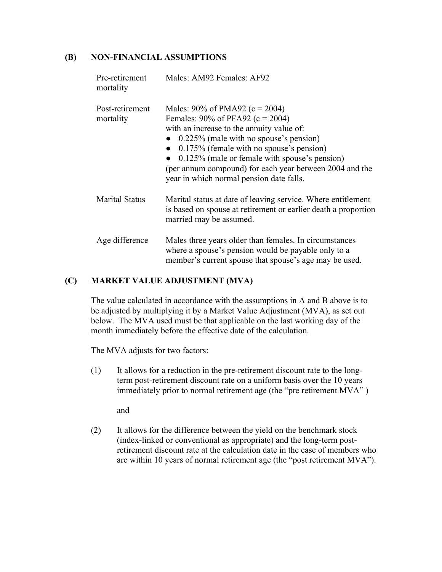## **(B) NON-FINANCIAL ASSUMPTIONS**

| Pre-retirement<br>mortality  | Males: AM92 Females: AF92                                                                                                                                                                                                                                                                                                                                                 |
|------------------------------|---------------------------------------------------------------------------------------------------------------------------------------------------------------------------------------------------------------------------------------------------------------------------------------------------------------------------------------------------------------------------|
| Post-retirement<br>mortality | Males: $90\%$ of PMA92 (c = 2004)<br>Females: $90\%$ of PFA92 (c = 2004)<br>with an increase to the annuity value of:<br>$0.225\%$ (male with no spouse's pension)<br>$0.175\%$ (female with no spouse's pension)<br>0.125% (male or female with spouse's pension)<br>(per annum compound) for each year between 2004 and the<br>year in which normal pension date falls. |
| <b>Marital Status</b>        | Marital status at date of leaving service. Where entitlement<br>is based on spouse at retirement or earlier death a proportion<br>married may be assumed.                                                                                                                                                                                                                 |
| Age difference               | Males three years older than females. In circumstances<br>where a spouse's pension would be payable only to a<br>member's current spouse that spouse's age may be used.                                                                                                                                                                                                   |

## **(C) MARKET VALUE ADJUSTMENT (MVA)**

The value calculated in accordance with the assumptions in A and B above is to be adjusted by multiplying it by a Market Value Adjustment (MVA), as set out below. The MVA used must be that applicable on the last working day of the month immediately before the effective date of the calculation.

The MVA adjusts for two factors:

(1) It allows for a reduction in the pre-retirement discount rate to the longterm post-retirement discount rate on a uniform basis over the 10 years immediately prior to normal retirement age (the "pre retirement MVA" )

and

(2) It allows for the difference between the yield on the benchmark stock (index-linked or conventional as appropriate) and the long-term postretirement discount rate at the calculation date in the case of members who are within 10 years of normal retirement age (the "post retirement MVA").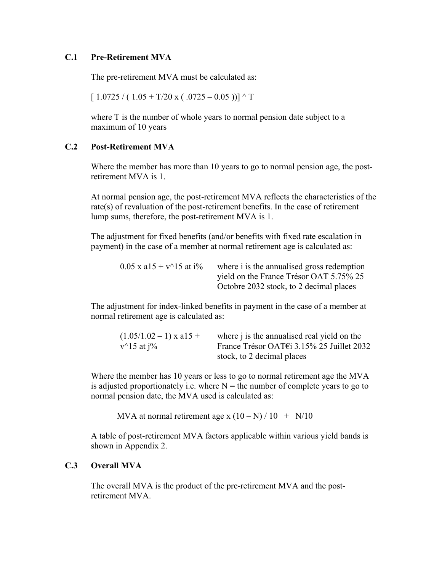#### **C.1 Pre-Retirement MVA**

The pre-retirement MVA must be calculated as:

 $[1.0725/(1.05+T/20 \text{ x} (.0725-0.05))]$  ^ T

where T is the number of whole years to normal pension date subject to a maximum of 10 years

## **C.2 Post-Retirement MVA**

Where the member has more than 10 years to go to normal pension age, the postretirement MVA is 1.

At normal pension age, the post-retirement MVA reflects the characteristics of the rate(s) of revaluation of the post-retirement benefits. In the case of retirement lump sums, therefore, the post-retirement MVA is 1.

The adjustment for fixed benefits (and/or benefits with fixed rate escalation in payment) in the case of a member at normal retirement age is calculated as:

| $0.05$ x a15 + v^15 at i% | where i is the annualised gross redemption |
|---------------------------|--------------------------------------------|
|                           | yield on the France Trésor OAT 5.75% 25    |
|                           | Octobre 2032 stock, to 2 decimal places    |

The adjustment for index-linked benefits in payment in the case of a member at normal retirement age is calculated as:

| $(1.05/1.02 - 1)$ x a15 + | where <i>j</i> is the annualised real yield on the   |
|---------------------------|------------------------------------------------------|
| $v^{\wedge}15$ at $i\%$   | France Trésor OAT $\epsilon$ i 3.15% 25 Juillet 2032 |
|                           | stock, to 2 decimal places                           |

Where the member has 10 years or less to go to normal retirement age the MVA is adjusted proportionately i.e. where  $N =$  the number of complete years to go to normal pension date, the MVA used is calculated as:

MVA at normal retirement age x  $(10-N)/10 + N/10$ 

A table of post-retirement MVA factors applicable within various yield bands is shown in Appendix 2.

# **C.3 Overall MVA**

The overall MVA is the product of the pre-retirement MVA and the postretirement MVA.